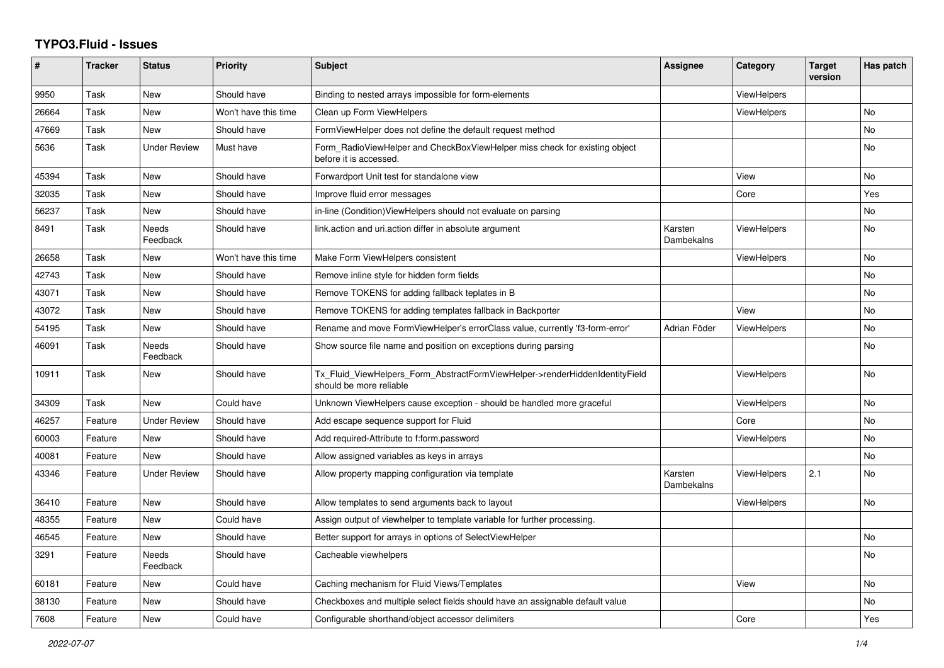## **TYPO3.Fluid - Issues**

| $\#$  | <b>Tracker</b> | <b>Status</b>            | <b>Priority</b>      | <b>Subject</b>                                                                                         | <b>Assignee</b>       | Category           | <b>Target</b><br>version | Has patch |
|-------|----------------|--------------------------|----------------------|--------------------------------------------------------------------------------------------------------|-----------------------|--------------------|--------------------------|-----------|
| 9950  | Task           | New                      | Should have          | Binding to nested arrays impossible for form-elements                                                  |                       | <b>ViewHelpers</b> |                          |           |
| 26664 | Task           | New                      | Won't have this time | Clean up Form ViewHelpers                                                                              |                       | ViewHelpers        |                          | No        |
| 47669 | Task           | New                      | Should have          | FormViewHelper does not define the default request method                                              |                       |                    |                          | No.       |
| 5636  | Task           | <b>Under Review</b>      | Must have            | Form_RadioViewHelper and CheckBoxViewHelper miss check for existing object<br>before it is accessed.   |                       |                    |                          | <b>No</b> |
| 45394 | Task           | New                      | Should have          | Forwardport Unit test for standalone view                                                              |                       | View               |                          | No        |
| 32035 | Task           | New                      | Should have          | Improve fluid error messages                                                                           |                       | Core               |                          | Yes       |
| 56237 | Task           | New                      | Should have          | in-line (Condition)ViewHelpers should not evaluate on parsing                                          |                       |                    |                          | No        |
| 8491  | Task           | <b>Needs</b><br>Feedback | Should have          | link action and uri action differ in absolute argument                                                 | Karsten<br>Dambekalns | ViewHelpers        |                          | <b>No</b> |
| 26658 | Task           | New                      | Won't have this time | Make Form ViewHelpers consistent                                                                       |                       | <b>ViewHelpers</b> |                          | <b>No</b> |
| 42743 | Task           | New                      | Should have          | Remove inline style for hidden form fields                                                             |                       |                    |                          | No        |
| 43071 | Task           | <b>New</b>               | Should have          | Remove TOKENS for adding fallback teplates in B                                                        |                       |                    |                          | <b>No</b> |
| 43072 | Task           | New                      | Should have          | Remove TOKENS for adding templates fallback in Backporter                                              |                       | View               |                          | <b>No</b> |
| 54195 | Task           | New                      | Should have          | Rename and move FormViewHelper's errorClass value, currently 'f3-form-error'                           | Adrian Föder          | ViewHelpers        |                          | No        |
| 46091 | Task           | Needs<br>Feedback        | Should have          | Show source file name and position on exceptions during parsing                                        |                       |                    |                          | <b>No</b> |
| 10911 | Task           | New                      | Should have          | Tx Fluid ViewHelpers Form AbstractFormViewHelper->renderHiddenIdentityField<br>should be more reliable |                       | <b>ViewHelpers</b> |                          | <b>No</b> |
| 34309 | Task           | New                      | Could have           | Unknown ViewHelpers cause exception - should be handled more graceful                                  |                       | <b>ViewHelpers</b> |                          | <b>No</b> |
| 46257 | Feature        | <b>Under Review</b>      | Should have          | Add escape sequence support for Fluid                                                                  |                       | Core               |                          | No        |
| 60003 | Feature        | New                      | Should have          | Add required-Attribute to f:form.password                                                              |                       | ViewHelpers        |                          | No        |
| 40081 | Feature        | <b>New</b>               | Should have          | Allow assigned variables as keys in arrays                                                             |                       |                    |                          | <b>No</b> |
| 43346 | Feature        | Under Review             | Should have          | Allow property mapping configuration via template                                                      | Karsten<br>Dambekalns | <b>ViewHelpers</b> | 2.1                      | <b>No</b> |
| 36410 | Feature        | New                      | Should have          | Allow templates to send arguments back to layout                                                       |                       | ViewHelpers        |                          | No        |
| 48355 | Feature        | <b>New</b>               | Could have           | Assign output of viewhelper to template variable for further processing.                               |                       |                    |                          |           |
| 46545 | Feature        | New                      | Should have          | Better support for arrays in options of SelectViewHelper                                               |                       |                    |                          | <b>No</b> |
| 3291  | Feature        | Needs<br>Feedback        | Should have          | Cacheable viewhelpers                                                                                  |                       |                    |                          | No        |
| 60181 | Feature        | New                      | Could have           | Caching mechanism for Fluid Views/Templates                                                            |                       | View               |                          | No        |
| 38130 | Feature        | New                      | Should have          | Checkboxes and multiple select fields should have an assignable default value                          |                       |                    |                          | <b>No</b> |
| 7608  | Feature        | New                      | Could have           | Configurable shorthand/object accessor delimiters                                                      |                       | Core               |                          | Yes       |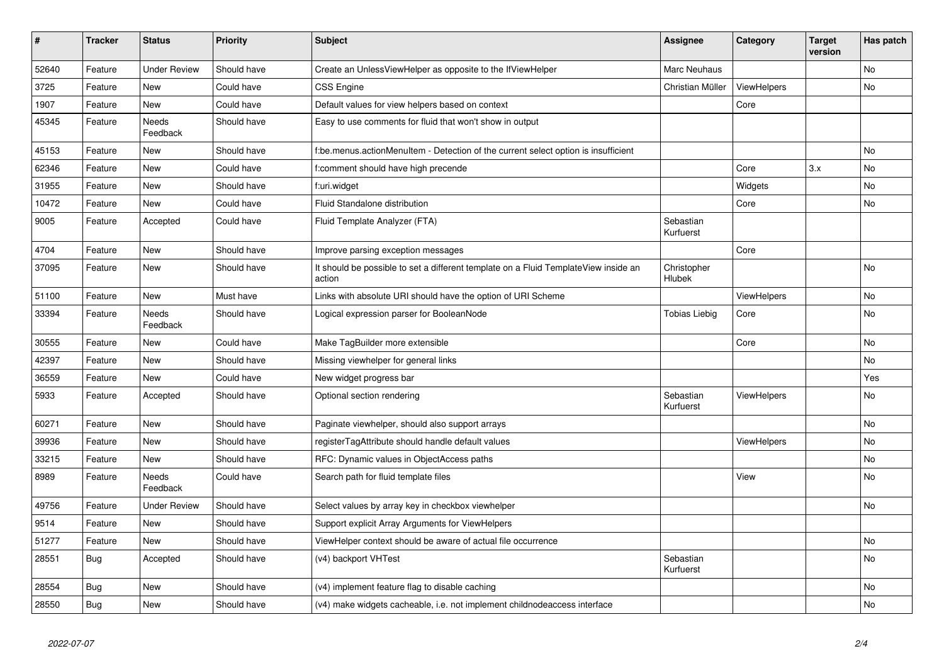| $\vert$ # | <b>Tracker</b> | <b>Status</b>       | <b>Priority</b> | <b>Subject</b>                                                                                | <b>Assignee</b>        | Category           | <b>Target</b><br>version | Has patch |
|-----------|----------------|---------------------|-----------------|-----------------------------------------------------------------------------------------------|------------------------|--------------------|--------------------------|-----------|
| 52640     | Feature        | <b>Under Review</b> | Should have     | Create an UnlessViewHelper as opposite to the IfViewHelper                                    | Marc Neuhaus           |                    |                          | <b>No</b> |
| 3725      | Feature        | New                 | Could have      | <b>CSS Engine</b>                                                                             | Christian Müller       | ViewHelpers        |                          | <b>No</b> |
| 1907      | Feature        | New                 | Could have      | Default values for view helpers based on context                                              |                        | Core               |                          |           |
| 45345     | Feature        | Needs<br>Feedback   | Should have     | Easy to use comments for fluid that won't show in output                                      |                        |                    |                          |           |
| 45153     | Feature        | New                 | Should have     | f:be.menus.actionMenuItem - Detection of the current select option is insufficient            |                        |                    |                          | <b>No</b> |
| 62346     | Feature        | New                 | Could have      | f:comment should have high precende                                                           |                        | Core               | 3.x                      | No        |
| 31955     | Feature        | New                 | Should have     | f:uri.widget                                                                                  |                        | Widgets            |                          | <b>No</b> |
| 10472     | Feature        | New                 | Could have      | Fluid Standalone distribution                                                                 |                        | Core               |                          | No        |
| 9005      | Feature        | Accepted            | Could have      | Fluid Template Analyzer (FTA)                                                                 | Sebastian<br>Kurfuerst |                    |                          |           |
| 4704      | Feature        | New                 | Should have     | Improve parsing exception messages                                                            |                        | Core               |                          |           |
| 37095     | Feature        | New                 | Should have     | It should be possible to set a different template on a Fluid TemplateView inside an<br>action | Christopher<br>Hlubek  |                    |                          | <b>No</b> |
| 51100     | Feature        | New                 | Must have       | Links with absolute URI should have the option of URI Scheme                                  |                        | <b>ViewHelpers</b> |                          | <b>No</b> |
| 33394     | Feature        | Needs<br>Feedback   | Should have     | Logical expression parser for BooleanNode                                                     | <b>Tobias Liebig</b>   | Core               |                          | <b>No</b> |
| 30555     | Feature        | New                 | Could have      | Make TagBuilder more extensible                                                               |                        | Core               |                          | <b>No</b> |
| 42397     | Feature        | New                 | Should have     | Missing viewhelper for general links                                                          |                        |                    |                          | No        |
| 36559     | Feature        | New                 | Could have      | New widget progress bar                                                                       |                        |                    |                          | Yes       |
| 5933      | Feature        | Accepted            | Should have     | Optional section rendering                                                                    | Sebastian<br>Kurfuerst | <b>ViewHelpers</b> |                          | <b>No</b> |
| 60271     | Feature        | <b>New</b>          | Should have     | Paginate viewhelper, should also support arrays                                               |                        |                    |                          | <b>No</b> |
| 39936     | Feature        | <b>New</b>          | Should have     | registerTagAttribute should handle default values                                             |                        | <b>ViewHelpers</b> |                          | No        |
| 33215     | Feature        | New                 | Should have     | RFC: Dynamic values in ObjectAccess paths                                                     |                        |                    |                          | No        |
| 8989      | Feature        | Needs<br>Feedback   | Could have      | Search path for fluid template files                                                          |                        | View               |                          | <b>No</b> |
| 49756     | Feature        | <b>Under Review</b> | Should have     | Select values by array key in checkbox viewhelper                                             |                        |                    |                          | <b>No</b> |
| 9514      | Feature        | <b>New</b>          | Should have     | Support explicit Array Arguments for ViewHelpers                                              |                        |                    |                          |           |
| 51277     | Feature        | <b>New</b>          | Should have     | ViewHelper context should be aware of actual file occurrence                                  |                        |                    |                          | No        |
| 28551     | Bug            | Accepted            | Should have     | (v4) backport VHTest                                                                          | Sebastian<br>Kurfuerst |                    |                          | <b>No</b> |
| 28554     | <b>Bug</b>     | New                 | Should have     | (v4) implement feature flag to disable caching                                                |                        |                    |                          | <b>No</b> |
| 28550     | <b>Bug</b>     | <b>New</b>          | Should have     | (v4) make widgets cacheable, i.e. not implement childnodeaccess interface                     |                        |                    |                          | <b>No</b> |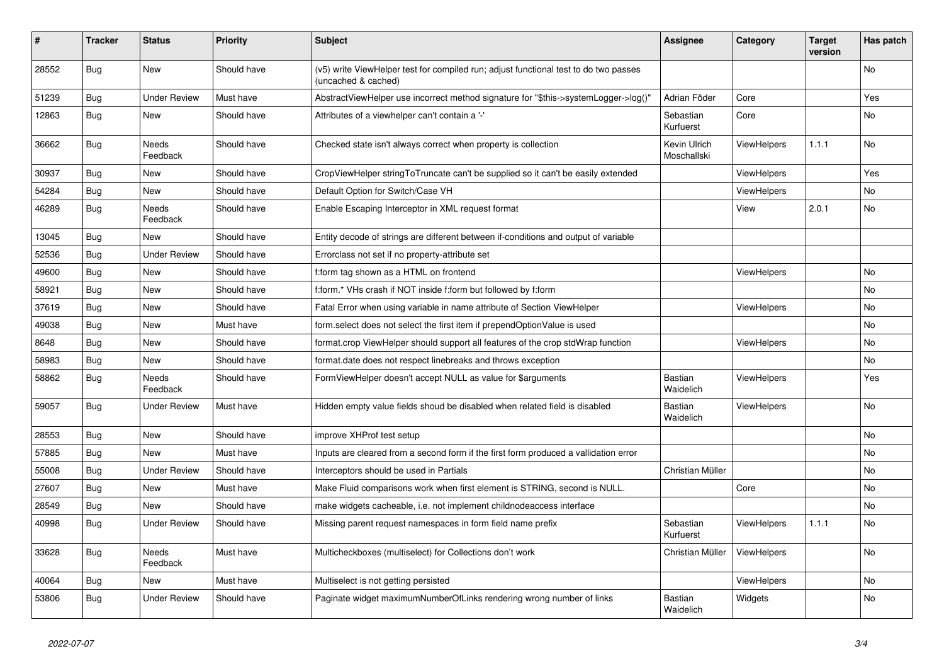| #     | <b>Tracker</b> | <b>Status</b>            | <b>Priority</b> | <b>Subject</b>                                                                                              | Assignee                    | Category           | <b>Target</b><br>version | Has patch |
|-------|----------------|--------------------------|-----------------|-------------------------------------------------------------------------------------------------------------|-----------------------------|--------------------|--------------------------|-----------|
| 28552 | Bug            | <b>New</b>               | Should have     | (v5) write ViewHelper test for compiled run; adjust functional test to do two passes<br>(uncached & cached) |                             |                    |                          | <b>No</b> |
| 51239 | Bug            | <b>Under Review</b>      | Must have       | AbstractViewHelper use incorrect method signature for "\$this->systemLogger->log()"                         | Adrian Föder                | Core               |                          | Yes       |
| 12863 | <b>Bug</b>     | <b>New</b>               | Should have     | Attributes of a viewhelper can't contain a '-'                                                              | Sebastian<br>Kurfuerst      | Core               |                          | No        |
| 36662 | Bug            | Needs<br>Feedback        | Should have     | Checked state isn't always correct when property is collection                                              | Kevin Ulrich<br>Moschallski | <b>ViewHelpers</b> | 1.1.1                    | No        |
| 30937 | Bug            | New                      | Should have     | CropViewHelper stringToTruncate can't be supplied so it can't be easily extended                            |                             | <b>ViewHelpers</b> |                          | Yes       |
| 54284 | Bug            | New                      | Should have     | Default Option for Switch/Case VH                                                                           |                             | ViewHelpers        |                          | No        |
| 46289 | Bug            | <b>Needs</b><br>Feedback | Should have     | Enable Escaping Interceptor in XML request format                                                           |                             | View               | 2.0.1                    | <b>No</b> |
| 13045 | <b>Bug</b>     | <b>New</b>               | Should have     | Entity decode of strings are different between if-conditions and output of variable                         |                             |                    |                          |           |
| 52536 | <b>Bug</b>     | <b>Under Review</b>      | Should have     | Errorclass not set if no property-attribute set                                                             |                             |                    |                          |           |
| 49600 | Bug            | New                      | Should have     | f:form tag shown as a HTML on frontend                                                                      |                             | <b>ViewHelpers</b> |                          | No        |
| 58921 | <b>Bug</b>     | New                      | Should have     | f:form.* VHs crash if NOT inside f:form but followed by f:form                                              |                             |                    |                          | No        |
| 37619 | <b>Bug</b>     | New                      | Should have     | Fatal Error when using variable in name attribute of Section ViewHelper                                     |                             | ViewHelpers        |                          | No        |
| 49038 | Bug            | New                      | Must have       | form.select does not select the first item if prependOptionValue is used                                    |                             |                    |                          | No        |
| 8648  | Bug            | New                      | Should have     | format.crop ViewHelper should support all features of the crop stdWrap function                             |                             | ViewHelpers        |                          | No        |
| 58983 | Bug            | <b>New</b>               | Should have     | format.date does not respect linebreaks and throws exception                                                |                             |                    |                          | No.       |
| 58862 | Bug            | Needs<br>Feedback        | Should have     | FormViewHelper doesn't accept NULL as value for \$arguments                                                 | <b>Bastian</b><br>Waidelich | ViewHelpers        |                          | Yes       |
| 59057 | Bug            | <b>Under Review</b>      | Must have       | Hidden empty value fields shoud be disabled when related field is disabled                                  | <b>Bastian</b><br>Waidelich | <b>ViewHelpers</b> |                          | <b>No</b> |
| 28553 | Bug            | <b>New</b>               | Should have     | improve XHProf test setup                                                                                   |                             |                    |                          | No        |
| 57885 | Bug            | <b>New</b>               | Must have       | Inputs are cleared from a second form if the first form produced a vallidation error                        |                             |                    |                          | <b>No</b> |
| 55008 | Bug            | <b>Under Review</b>      | Should have     | Interceptors should be used in Partials                                                                     | Christian Müller            |                    |                          | No        |
| 27607 | Bug            | <b>New</b>               | Must have       | Make Fluid comparisons work when first element is STRING, second is NULL.                                   |                             | Core               |                          | No        |
| 28549 | Bug            | <b>New</b>               | Should have     | make widgets cacheable, i.e. not implement childnodeaccess interface                                        |                             |                    |                          | <b>No</b> |
| 40998 | Bug            | <b>Under Review</b>      | Should have     | Missing parent request namespaces in form field name prefix                                                 | Sebastian<br>Kurfuerst      | <b>ViewHelpers</b> | 1.1.1                    | No        |
| 33628 | Bug            | Needs<br>Feedback        | Must have       | Multicheckboxes (multiselect) for Collections don't work                                                    | Christian Müller            | ViewHelpers        |                          | No        |
| 40064 | Bug            | New                      | Must have       | Multiselect is not getting persisted                                                                        |                             | ViewHelpers        |                          | No        |
| 53806 | Bug            | Under Review             | Should have     | Paginate widget maximumNumberOfLinks rendering wrong number of links                                        | Bastian<br>Waidelich        | Widgets            |                          | No        |